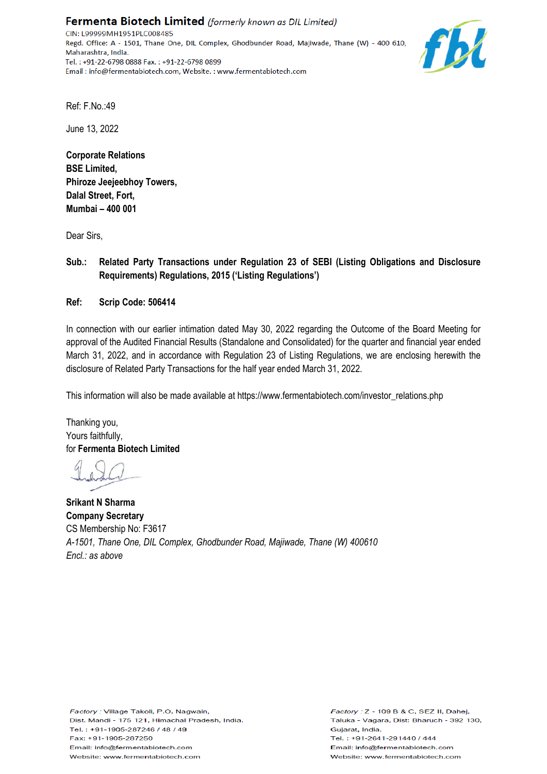Fermenta Biotech Limited (formerly known as DIL Limited) CIN: L99999MH1951PLC008485 Regd. Office: A - 1501, Thane One, DIL Complex, Ghodbunder Road, Majiwade, Thane (W) - 400 610, Maharashtra, India. Tel.: +91-22-6798 0888 Fax.: +91-22-6798 0899 Email: info@fermentabiotech.com, Website.: www.fermentabiotech.com



Ref: F.No.:49

June 13, 2022

**Corporate Relations BSE Limited, Phiroze Jeejeebhoy Towers, Dalal Street, Fort, Mumbai – 400 001**

Dear Sirs,

**Sub.: Related Party Transactions under Regulation 23 of SEBI (Listing Obligations and Disclosure Requirements) Regulations, 2015 ('Listing Regulations')**

**Ref: Scrip Code: 506414** 

In connection with our earlier intimation dated May 30, 2022 regarding the Outcome of the Board Meeting for approval of the Audited Financial Results (Standalone and Consolidated) for the quarter and financial year ended March 31, 2022, and in accordance with Regulation 23 of Listing Regulations, we are enclosing herewith the disclosure of Related Party Transactions for the half year ended March 31, 2022.

This information will also be made available at https://www.fermentabiotech.com/investor\_relations.php

Thanking you, Yours faithfully, for **Fermenta Biotech Limited**

**Srikant N Sharma Company Secretary** CS Membership No: F3617 *A-1501, Thane One, DIL Complex, Ghodbunder Road, Majiwade, Thane (W) 400610 Encl.: as above*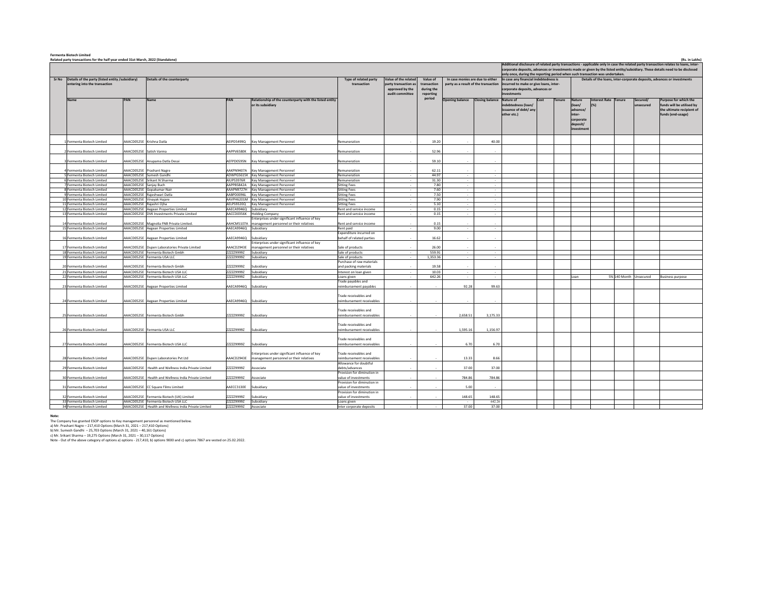| <b>Fermenta Biotech Limited</b><br>(Rs. in Lakhs)<br>Related party transactions for the half year ended 31st March, 2022 (Standalone) |                                                            |            |                                                                                    |                          |                                                         |                                                    |                      |              |                                                                             |                  |                                                                                                                                                                                                               |  |        |                       |               |               |                        |                                                                                                                                      |  |  |
|---------------------------------------------------------------------------------------------------------------------------------------|------------------------------------------------------------|------------|------------------------------------------------------------------------------------|--------------------------|---------------------------------------------------------|----------------------------------------------------|----------------------|--------------|-----------------------------------------------------------------------------|------------------|---------------------------------------------------------------------------------------------------------------------------------------------------------------------------------------------------------------|--|--------|-----------------------|---------------|---------------|------------------------|--------------------------------------------------------------------------------------------------------------------------------------|--|--|
|                                                                                                                                       |                                                            |            |                                                                                    |                          |                                                         |                                                    |                      |              |                                                                             |                  |                                                                                                                                                                                                               |  |        |                       |               |               |                        | Additional disclosure of related party transactions - applicable only in case the related party transaction relates to loans, inter- |  |  |
|                                                                                                                                       |                                                            |            |                                                                                    |                          |                                                         |                                                    |                      |              |                                                                             |                  |                                                                                                                                                                                                               |  |        |                       |               |               |                        |                                                                                                                                      |  |  |
|                                                                                                                                       |                                                            |            |                                                                                    |                          |                                                         |                                                    |                      |              |                                                                             |                  | corporate deposits, advances or investments made or given by the listed entity/subsidiary. These details need to be disclosed<br>only once, during the reporting period when such transaction was undertaken. |  |        |                       |               |               |                        |                                                                                                                                      |  |  |
|                                                                                                                                       | Sr No Details of the party (listed entity /subsidiary)     |            | Details of the counterparty                                                        |                          |                                                         | <b>Type of related party</b><br>transaction        | Value of the related | Value of     | In case monies are due to either                                            |                  | In case any financial indebtedness is                                                                                                                                                                         |  |        |                       |               |               |                        | Details of the loans, inter-corporate deposits, advances or investments                                                              |  |  |
|                                                                                                                                       | intering into the transaction                              |            |                                                                                    |                          |                                                         |                                                    | party transaction a  | transaction  | party as a result of the transaction incurred to make or give loans, inter- |                  |                                                                                                                                                                                                               |  |        |                       |               |               |                        |                                                                                                                                      |  |  |
|                                                                                                                                       |                                                            |            |                                                                                    |                          |                                                         |                                                    | approved by the      | during the   |                                                                             |                  | corporate deposits, advances or                                                                                                                                                                               |  |        |                       |               |               |                        |                                                                                                                                      |  |  |
|                                                                                                                                       |                                                            |            |                                                                                    |                          |                                                         |                                                    | audit committee      | reporting    |                                                                             |                  | <b>investments</b>                                                                                                                                                                                            |  |        |                       |               |               |                        |                                                                                                                                      |  |  |
|                                                                                                                                       |                                                            | PAN        |                                                                                    |                          | Relationship of the counterparty with the listed entity |                                                    |                      | period       | Opening balance Closing balance Nature of                                   |                  |                                                                                                                                                                                                               |  | Tenure | <b>Nature</b>         | Interest Rate | <b>Tenure</b> | Secured/               | Purpose for which the                                                                                                                |  |  |
|                                                                                                                                       |                                                            |            |                                                                                    |                          | or its subsidiary                                       |                                                    |                      |              |                                                                             |                  | indebtedness (loan/                                                                                                                                                                                           |  |        | (loan/                |               |               | unsecured              | funds will be utilised by                                                                                                            |  |  |
|                                                                                                                                       |                                                            |            |                                                                                    |                          |                                                         |                                                    |                      |              |                                                                             |                  | issuance of debt/ any                                                                                                                                                                                         |  |        | dvance/               |               |               |                        | the ultimate recipient of                                                                                                            |  |  |
|                                                                                                                                       |                                                            |            |                                                                                    |                          |                                                         |                                                    |                      |              |                                                                             |                  | other etc.)                                                                                                                                                                                                   |  |        |                       |               |               |                        | funds (end-usage)                                                                                                                    |  |  |
|                                                                                                                                       |                                                            |            |                                                                                    |                          |                                                         |                                                    |                      |              |                                                                             |                  |                                                                                                                                                                                                               |  |        | corporate<br>deposit/ |               |               |                        |                                                                                                                                      |  |  |
|                                                                                                                                       |                                                            |            |                                                                                    |                          |                                                         |                                                    |                      |              |                                                                             |                  |                                                                                                                                                                                                               |  |        | nvestmer              |               |               |                        |                                                                                                                                      |  |  |
|                                                                                                                                       |                                                            |            |                                                                                    |                          |                                                         |                                                    |                      |              |                                                                             |                  |                                                                                                                                                                                                               |  |        |                       |               |               |                        |                                                                                                                                      |  |  |
|                                                                                                                                       |                                                            |            |                                                                                    |                          |                                                         |                                                    |                      |              |                                                                             |                  |                                                                                                                                                                                                               |  |        |                       |               |               |                        |                                                                                                                                      |  |  |
|                                                                                                                                       | Fermenta Biotech Limited                                   | AACD0525E  | Crishna Datla                                                                      | EIPD5499Q                | Key Management Personnel                                | Remuneration                                       |                      | 19.20        |                                                                             | 40.00            |                                                                                                                                                                                                               |  |        |                       |               |               |                        |                                                                                                                                      |  |  |
|                                                                                                                                       | Fermenta Biotech Limited                                   | AACD0525E  | atish Varma                                                                        | APPV6580K                | ley Management Personnel                                | temuneration                                       |                      | 52.96        |                                                                             |                  |                                                                                                                                                                                                               |  |        |                       |               |               |                        |                                                                                                                                      |  |  |
|                                                                                                                                       |                                                            |            |                                                                                    |                          |                                                         |                                                    |                      |              |                                                                             |                  |                                                                                                                                                                                                               |  |        |                       |               |               |                        |                                                                                                                                      |  |  |
|                                                                                                                                       | Fermenta Biotech Limited                                   | AAACD0525E | Anupama Datla Desai                                                                | AEFPD0595N               | Key Management Personnel                                | Remuneration                                       |                      | 59.10        |                                                                             |                  |                                                                                                                                                                                                               |  |        |                       |               |               |                        |                                                                                                                                      |  |  |
|                                                                                                                                       |                                                            |            |                                                                                    |                          |                                                         |                                                    |                      |              |                                                                             |                  |                                                                                                                                                                                                               |  |        |                       |               |               |                        |                                                                                                                                      |  |  |
|                                                                                                                                       | Fermenta Biotech Limited                                   | AACD0525E  | Prashant Nagre                                                                     | AKPN9407A                | Cey Management Personnel                                | Remuneration                                       |                      | 62.11        |                                                                             |                  |                                                                                                                                                                                                               |  |        |                       |               |               |                        |                                                                                                                                      |  |  |
|                                                                                                                                       | 5 Fermenta Biotech Limited                                 | AAACD0525E | Sumesh Gandhi                                                                      |                          | ADWPG5615K Key Management Personnel                     | Remuneration                                       | $\sim$               | 44.97        | $\sim$                                                                      | $\sim$           |                                                                                                                                                                                                               |  |        |                       |               |               |                        |                                                                                                                                      |  |  |
|                                                                                                                                       | 6 Fermenta Biotech Limited                                 | AAACD0525E | Srikant N Sharma                                                                   | AIUPS3976R               | Key Management Personnel                                | Remuneration                                       | $\sim$               | 31.30        |                                                                             | $\sim$           |                                                                                                                                                                                                               |  |        |                       |               |               |                        |                                                                                                                                      |  |  |
|                                                                                                                                       | 7 Fermenta Biotech Limited                                 |            | AAACD0525E Sanjay Buch                                                             | AAPPB5842A               | Key Management Personnel                                | <b>Sitting Fees</b>                                | $\sim$               | 7.80         | $\sim$                                                                      | $\sim$           |                                                                                                                                                                                                               |  |        |                       |               |               |                        |                                                                                                                                      |  |  |
|                                                                                                                                       | <b>8 Fermenta Biotech Limited</b>                          | AAACD0525E | Gonakumar Nair                                                                     | AAAPN9727H               | <b>Key Management Personnel</b>                         | <b>Sitting Fees</b>                                | $\sim$               | 7.60         | $\sim$                                                                      | $\sim$           |                                                                                                                                                                                                               |  |        |                       |               |               |                        |                                                                                                                                      |  |  |
|                                                                                                                                       | 9 Fermenta Rinterh Limited                                 | AAACD0525E | Rajeshwari Datla                                                                   | AABPD0096L               | Key Management Personnel                                | <b>Sitting Fees</b>                                |                      | 7.50         |                                                                             | $\sim$           |                                                                                                                                                                                                               |  |        |                       |               |               |                        |                                                                                                                                      |  |  |
|                                                                                                                                       | 10 Fermenta Biotech Limited                                |            | AAACD0525E Vinavak Hajare                                                          | AAVPH6201M               | Key Management Personnel                                | <b>Sitting Fees</b>                                | $\sim$               | 7.90         | $\sim$                                                                      | $\sim$           |                                                                                                                                                                                                               |  |        |                       |               |               |                        |                                                                                                                                      |  |  |
|                                                                                                                                       | 11 Fermenta Biotech Limited                                | AAACD0525E | Rajashri Ojha                                                                      | AELPS9320Q               | Key Management Personnel                                | <b>Sitting Fees</b>                                | $\sim$               | 5.10         |                                                                             | $\sim$           |                                                                                                                                                                                                               |  |        |                       |               |               |                        |                                                                                                                                      |  |  |
|                                                                                                                                       | 12 Fermenta Biotech Limited<br>13 Fermenta Biotech Limited |            | AAACD0525E Aegean Properties Limited<br>AAACD0525E DVK Investments Private Limited | AAECA9946Q<br>AACCD0356K | subsidiary<br><b>Iolding Company</b>                    | Rent and service income<br>Rent and service income | $\sim$               | 0.15<br>0.15 |                                                                             | $\sim$<br>$\sim$ |                                                                                                                                                                                                               |  |        |                       |               |               |                        |                                                                                                                                      |  |  |
|                                                                                                                                       |                                                            |            |                                                                                    |                          | nterprises under significant influence of key           |                                                    |                      |              |                                                                             |                  |                                                                                                                                                                                                               |  |        |                       |               |               |                        |                                                                                                                                      |  |  |
|                                                                                                                                       | 14 Fermenta Biotech Limited                                | AACD0525E  | Magnolia FNB Private Limited.                                                      | AAHCM5107A               | management personnel or their relatives                 | Rent and service income                            |                      | 0.15         |                                                                             |                  |                                                                                                                                                                                                               |  |        |                       |               |               |                        |                                                                                                                                      |  |  |
|                                                                                                                                       | 15 Fermenta Biotech Limited                                |            | AAACD0525E Aegean Properties Limited                                               | AAECA9946Q Subsidiary    |                                                         | Rent paid                                          |                      | 9.00         |                                                                             | $\sim$           |                                                                                                                                                                                                               |  |        |                       |               |               |                        |                                                                                                                                      |  |  |
|                                                                                                                                       |                                                            |            |                                                                                    |                          |                                                         | Expenditure incurred on                            |                      |              |                                                                             |                  |                                                                                                                                                                                                               |  |        |                       |               |               |                        |                                                                                                                                      |  |  |
|                                                                                                                                       | 16 Fermenta Biotech Limited                                |            | AACD0525E Aegean Properties Limited                                                | AAECA9946Q               | ubsidiary                                               | behalf of related parties                          |                      | 16.62        |                                                                             |                  |                                                                                                                                                                                                               |  |        |                       |               |               |                        |                                                                                                                                      |  |  |
|                                                                                                                                       |                                                            |            |                                                                                    |                          | terprises under significant influence of key            |                                                    |                      |              |                                                                             |                  |                                                                                                                                                                                                               |  |        |                       |               |               |                        |                                                                                                                                      |  |  |
|                                                                                                                                       | 17 Fermenta Biotech Limited                                |            | AACD0525E Dupen Laboratories Private Limited                                       | AAACD2943E               | anagement personnel or their relatives                  | Sale of products                                   |                      | 26.00        |                                                                             |                  |                                                                                                                                                                                                               |  |        |                       |               |               |                        |                                                                                                                                      |  |  |
|                                                                                                                                       | 18 Fermenta Biotech Limited                                |            | AAACD0525E Fermenta Biotech Gmbh                                                   | ZZZZZ9999Z               | Subsidiary                                              | Sale of products                                   | $\sim$               | 559.91       |                                                                             | $\sim$           |                                                                                                                                                                                                               |  |        |                       |               |               |                        |                                                                                                                                      |  |  |
|                                                                                                                                       | 19 Fermenta Biotech Limited                                |            | AAACD0525E Fermenta USA LLC                                                        | ZZZZZ9999Z               | ubsidiary                                               | Sale of products                                   |                      | 1,353.36     |                                                                             |                  |                                                                                                                                                                                                               |  |        |                       |               |               |                        |                                                                                                                                      |  |  |
|                                                                                                                                       | 20 Fermenta Biotech Limited                                | AAACD0525E | Fermenta Biotech Gmbh                                                              | ZZZZZ9999Z               | ubsidiary                                               | Purchase of raw materials<br>and packing materials |                      | 19.58        |                                                                             |                  |                                                                                                                                                                                                               |  |        |                       |               |               |                        |                                                                                                                                      |  |  |
|                                                                                                                                       | 21 Fermenta Biotech Limited                                | AAACD0525E |                                                                                    | ZZZZZ9999Z               |                                                         |                                                    | $\sim$               | 10.03        |                                                                             |                  |                                                                                                                                                                                                               |  |        |                       |               |               |                        |                                                                                                                                      |  |  |
|                                                                                                                                       | 22 Fermenta Biotech Limited                                |            | Fermenta Biotech USA LLC<br>AAACD0525E Fermenta Biotech USA LLC                    | ZZZZZ9999Z               | ubsidiary<br>subsidiary                                 | nterest on loan given<br>Loans given               | $\sim$               | 642.26       |                                                                             | $\sim$           |                                                                                                                                                                                                               |  |        | Loan.                 |               |               | 5% 140 Month Unsecured | <b>Business purpose</b>                                                                                                              |  |  |
|                                                                                                                                       |                                                            |            |                                                                                    |                          |                                                         | rade payables and                                  |                      |              |                                                                             |                  |                                                                                                                                                                                                               |  |        |                       |               |               |                        |                                                                                                                                      |  |  |
|                                                                                                                                       | 23 Fermenta Biotech Limited                                | AACD0525E  | Aegean Properties Limited                                                          | AAECA9946Q               | ubsidiary                                               | eimbursement pavables                              |                      |              | 92.28                                                                       | 99.63            |                                                                                                                                                                                                               |  |        |                       |               |               |                        |                                                                                                                                      |  |  |
|                                                                                                                                       |                                                            |            |                                                                                    |                          |                                                         |                                                    |                      |              |                                                                             |                  |                                                                                                                                                                                                               |  |        |                       |               |               |                        |                                                                                                                                      |  |  |
|                                                                                                                                       |                                                            |            |                                                                                    |                          |                                                         | <b>Trade receivables and</b>                       |                      |              |                                                                             |                  |                                                                                                                                                                                                               |  |        |                       |               |               |                        |                                                                                                                                      |  |  |
|                                                                                                                                       | 24 Fermenta Biotech Limited                                | AACD0525E  | Aegean Properties Limited                                                          | AECA9946Q                | Subsidiary                                              | eimbursement receivables                           |                      |              |                                                                             |                  |                                                                                                                                                                                                               |  |        |                       |               |               |                        |                                                                                                                                      |  |  |
|                                                                                                                                       |                                                            |            |                                                                                    |                          |                                                         |                                                    |                      |              |                                                                             |                  |                                                                                                                                                                                                               |  |        |                       |               |               |                        |                                                                                                                                      |  |  |
|                                                                                                                                       |                                                            |            |                                                                                    |                          |                                                         | <b>Trade receivables and</b>                       |                      |              |                                                                             |                  |                                                                                                                                                                                                               |  |        |                       |               |               |                        |                                                                                                                                      |  |  |
|                                                                                                                                       | 25 Fermenta Biotech Limited                                |            | <b>AACD0525E</b> Fermenta Biotech Gmbh                                             | ZZZZZ9999Z               | ubsidiary                                               | eimbursement receivables                           |                      |              | 2,658.51                                                                    | 3,175.33         |                                                                                                                                                                                                               |  |        |                       |               |               |                        |                                                                                                                                      |  |  |
|                                                                                                                                       |                                                            |            |                                                                                    |                          |                                                         |                                                    |                      |              |                                                                             |                  |                                                                                                                                                                                                               |  |        |                       |               |               |                        |                                                                                                                                      |  |  |
|                                                                                                                                       | 26 Fermenta Biotech Limited                                | AACD0525E  | Fermenta USA LLC                                                                   | ZZZZZ9999Z               | ubsidiary                                               | rade receivables and<br>eimbursement receivables   |                      |              | 1,595.16                                                                    | 1,156.97         |                                                                                                                                                                                                               |  |        |                       |               |               |                        |                                                                                                                                      |  |  |
|                                                                                                                                       |                                                            |            |                                                                                    |                          |                                                         |                                                    |                      |              |                                                                             |                  |                                                                                                                                                                                                               |  |        |                       |               |               |                        |                                                                                                                                      |  |  |
|                                                                                                                                       |                                                            |            |                                                                                    |                          |                                                         | rade receivables and                               |                      |              |                                                                             |                  |                                                                                                                                                                                                               |  |        |                       |               |               |                        |                                                                                                                                      |  |  |
|                                                                                                                                       | 27 Fermenta Biotech Limited                                | AACD0525E  | Fermenta Biotech USA LLC                                                           | ZZZZZ9999Z               | ubsidiary                                               | eimbursement receivables                           |                      |              | 6.70                                                                        | 6.70             |                                                                                                                                                                                                               |  |        |                       |               |               |                        |                                                                                                                                      |  |  |
|                                                                                                                                       |                                                            |            |                                                                                    |                          |                                                         |                                                    |                      |              |                                                                             |                  |                                                                                                                                                                                                               |  |        |                       |               |               |                        |                                                                                                                                      |  |  |
|                                                                                                                                       |                                                            |            |                                                                                    |                          | interprises under significant influence of key          | Trade receivables and                              |                      |              |                                                                             |                  |                                                                                                                                                                                                               |  |        |                       |               |               |                        |                                                                                                                                      |  |  |
|                                                                                                                                       | 28 Fermenta Biotech Limited                                | AACD0525E  | Dupen Laboratories Pvt Ltd                                                         | AAACD2943E               | management personnel or their relatives                 | eimbursement receivables                           |                      |              | 13.33                                                                       | 8.66             |                                                                                                                                                                                                               |  |        |                       |               |               |                        |                                                                                                                                      |  |  |
|                                                                                                                                       |                                                            |            |                                                                                    |                          |                                                         | <b>Nlowance for doubtful</b>                       |                      |              |                                                                             |                  |                                                                                                                                                                                                               |  |        |                       |               |               |                        |                                                                                                                                      |  |  |
|                                                                                                                                       | 29 Fermenta Biotech Limited                                | AAACD0525E | Health and Wellness India Private Limited                                          | ZZZZZ9999Z               | ssociate                                                | debts/advances                                     |                      |              | 37.00                                                                       | 37.00            |                                                                                                                                                                                                               |  |        |                       |               |               |                        |                                                                                                                                      |  |  |
|                                                                                                                                       |                                                            |            |                                                                                    |                          |                                                         | Provision for diminution in                        |                      |              |                                                                             |                  |                                                                                                                                                                                                               |  |        |                       |               |               |                        |                                                                                                                                      |  |  |
|                                                                                                                                       | 30 Fermenta Biotech Limited                                | AAACD0525E | Health and Wellness India Private Limited                                          | ZZZZZ9999Z               | ssociate                                                | value of investments<br>rovision for diminution in |                      |              | 784.86                                                                      | 784.86           |                                                                                                                                                                                                               |  |        |                       |               |               |                        |                                                                                                                                      |  |  |
|                                                                                                                                       | 31 Fermenta Biotech Limited                                | AAACD0525E | CC Square Films Limited                                                            | AAECC3130E               | ubsidiary                                               | value of investments                               |                      |              | 5.00                                                                        |                  |                                                                                                                                                                                                               |  |        |                       |               |               |                        |                                                                                                                                      |  |  |
|                                                                                                                                       |                                                            |            |                                                                                    |                          |                                                         | Provision for diminution in                        |                      |              |                                                                             |                  |                                                                                                                                                                                                               |  |        |                       |               |               |                        |                                                                                                                                      |  |  |
|                                                                                                                                       | 32 Fermenta Biotech Limited                                | AACD0525F  | Fermenta Riotech (UK) Limited                                                      | 7777799997               | ihsidiary                                               | value of investments                               |                      |              | 148.65                                                                      | 148.65           |                                                                                                                                                                                                               |  |        |                       |               |               |                        |                                                                                                                                      |  |  |
|                                                                                                                                       | 33 Fermenta Biotech Limited                                |            | AAACD0525E Fermenta Biotech USA LLC                                                | 7777799997               | <b>Subsidiary</b>                                       | Loans given                                        |                      |              |                                                                             | 642.26           |                                                                                                                                                                                                               |  |        |                       |               |               |                        |                                                                                                                                      |  |  |
|                                                                                                                                       | 34 Fermenta Biotech Limited                                |            | AAACD0525E Health and Wellness India Private Limited                               | ZZZZZ9999Z               | Associate                                               | Inter corporate deposits                           |                      |              | 37.00                                                                       | 37.00            |                                                                                                                                                                                                               |  |        |                       |               |               |                        |                                                                                                                                      |  |  |

**Not**e:<br>The Company has granted ESOP options to Key management personnel as mentioned below.<br>a) Mr. Prashant Nagre – 217,410 Options (March 31, 2021 – 40,1510 Options)<br>[c) Mr. Stimesh Gandhi – 25,703 Options (March 31, 202